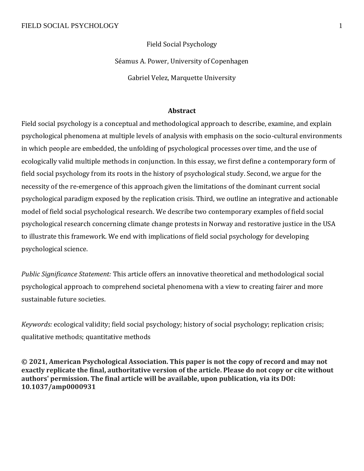Field Social Psychology

Séamus A. Power, University of Copenhagen

Gabriel Velez, Marquette University

## **Abstract**

Field social psychology is a conceptual and methodological approach to describe, examine, and explain psychological phenomena at multiple levels of analysis with emphasis on the socio-cultural environments in which people are embedded, the unfolding of psychological processes over time, and the use of ecologically valid multiple methods in conjunction. In this essay, we first define a contemporary form of field social psychology from its roots in the history of psychological study. Second, we argue for the necessity of the re-emergence of this approach given the limitations of the dominant current social psychological paradigm exposed by the replication crisis. Third, we outline an integrative and actionable model of field social psychological research. We describe two contemporary examples of field social psychological research concerning climate change protests in Norway and restorative justice in the USA to illustrate this framework. We end with implications of field social psychology for developing psychological science.

*Public Significance Statement:* This article offers an innovative theoretical and methodological social psychological approach to comprehend societal phenomena with a view to creating fairer and more sustainable future societies.

*Keywords:* ecological validity; field social psychology; history of social psychology; replication crisis; qualitative methods; quantitative methods

**© 2021, American Psychological Association. This paper is not the copy of record and may not exactly replicate the final, authoritative version of the article. Please do not copy or cite without authors' permission. The final article will be available, upon publication, via its DOI: 10.1037/amp0000931**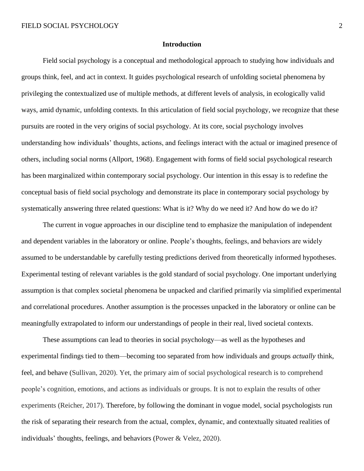### **Introduction**

Field social psychology is a conceptual and methodological approach to studying how individuals and groups think, feel, and act in context. It guides psychological research of unfolding societal phenomena by privileging the contextualized use of multiple methods, at different levels of analysis, in ecologically valid ways, amid dynamic, unfolding contexts. In this articulation of field social psychology, we recognize that these pursuits are rooted in the very origins of social psychology. At its core, social psychology involves understanding how individuals' thoughts, actions, and feelings interact with the actual or imagined presence of others, including social norms (Allport, 1968). Engagement with forms of field social psychological research has been marginalized within contemporary social psychology. Our intention in this essay is to redefine the conceptual basis of field social psychology and demonstrate its place in contemporary social psychology by systematically answering three related questions: What is it? Why do we need it? And how do we do it?

The current in vogue approaches in our discipline tend to emphasize the manipulation of independent and dependent variables in the laboratory or online. People's thoughts, feelings, and behaviors are widely assumed to be understandable by carefully testing predictions derived from theoretically informed hypotheses. Experimental testing of relevant variables is the gold standard of social psychology. One important underlying assumption is that complex societal phenomena be unpacked and clarified primarily via simplified experimental and correlational procedures. Another assumption is the processes unpacked in the laboratory or online can be meaningfully extrapolated to inform our understandings of people in their real, lived societal contexts.

These assumptions can lead to theories in social psychology—as well as the hypotheses and experimental findings tied to them—becoming too separated from how individuals and groups *actually* think, feel, and behave (Sullivan, 2020). Yet, the primary aim of social psychological research is to comprehend people's cognition, emotions, and actions as individuals or groups. It is not to explain the results of other experiments (Reicher, 2017). Therefore, by following the dominant in vogue model, social psychologists run the risk of separating their research from the actual, complex, dynamic, and contextually situated realities of individuals' thoughts, feelings, and behaviors (Power & Velez, 2020).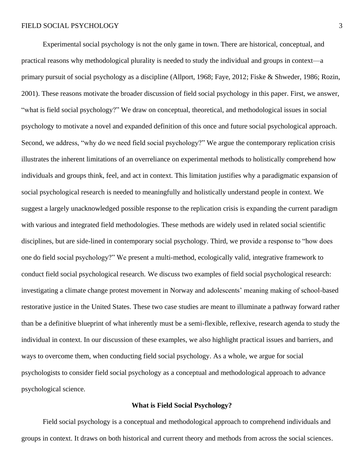Experimental social psychology is not the only game in town. There are historical, conceptual, and practical reasons why methodological plurality is needed to study the individual and groups in context—a primary pursuit of social psychology as a discipline (Allport, 1968; Faye, 2012; Fiske & Shweder, 1986; Rozin, 2001). These reasons motivate the broader discussion of field social psychology in this paper. First, we answer, "what is field social psychology?" We draw on conceptual, theoretical, and methodological issues in social psychology to motivate a novel and expanded definition of this once and future social psychological approach. Second, we address, "why do we need field social psychology?" We argue the contemporary replication crisis illustrates the inherent limitations of an overreliance on experimental methods to holistically comprehend how individuals and groups think, feel, and act in context. This limitation justifies why a paradigmatic expansion of social psychological research is needed to meaningfully and holistically understand people in context. We suggest a largely unacknowledged possible response to the replication crisis is expanding the current paradigm with various and integrated field methodologies. These methods are widely used in related social scientific disciplines, but are side-lined in contemporary social psychology. Third, we provide a response to "how does one do field social psychology?" We present a multi-method, ecologically valid, integrative framework to conduct field social psychological research. We discuss two examples of field social psychological research: investigating a climate change protest movement in Norway and adolescents' meaning making of school-based restorative justice in the United States. These two case studies are meant to illuminate a pathway forward rather than be a definitive blueprint of what inherently must be a semi-flexible, reflexive, research agenda to study the individual in context. In our discussion of these examples, we also highlight practical issues and barriers, and ways to overcome them, when conducting field social psychology. As a whole, we argue for social psychologists to consider field social psychology as a conceptual and methodological approach to advance psychological science.

#### **What is Field Social Psychology?**

Field social psychology is a conceptual and methodological approach to comprehend individuals and groups in context. It draws on both historical and current theory and methods from across the social sciences.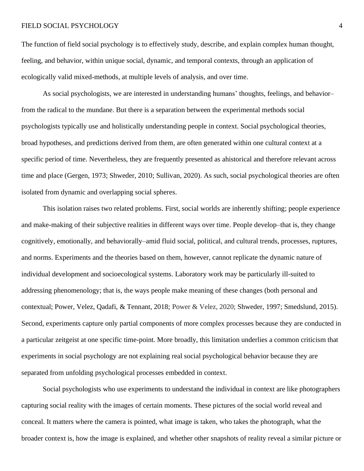The function of field social psychology is to effectively study, describe, and explain complex human thought, feeling, and behavior, within unique social, dynamic, and temporal contexts, through an application of ecologically valid mixed-methods, at multiple levels of analysis, and over time.

As social psychologists, we are interested in understanding humans' thoughts, feelings, and behavior– from the radical to the mundane. But there is a separation between the experimental methods social psychologists typically use and holistically understanding people in context. Social psychological theories, broad hypotheses, and predictions derived from them, are often generated within one cultural context at a specific period of time. Nevertheless, they are frequently presented as ahistorical and therefore relevant across time and place (Gergen, 1973; Shweder, 2010; Sullivan, 2020). As such, social psychological theories are often isolated from dynamic and overlapping social spheres.

This isolation raises two related problems. First, social worlds are inherently shifting; people experience and make-making of their subjective realities in different ways over time. People develop–that is, they change cognitively, emotionally, and behaviorally–amid fluid social, political, and cultural trends, processes, ruptures, and norms. Experiments and the theories based on them, however, cannot replicate the dynamic nature of individual development and socioecological systems. Laboratory work may be particularly ill-suited to addressing phenomenology; that is, the ways people make meaning of these changes (both personal and contextual; Power, Velez, Qadafi, & Tennant, 2018; Power & Velez, 2020; Shweder, 1997; Smedslund, 2015). Second, experiments capture only partial components of more complex processes because they are conducted in a particular zeitgeist at one specific time-point. More broadly, this limitation underlies a common criticism that experiments in social psychology are not explaining real social psychological behavior because they are separated from unfolding psychological processes embedded in context.

Social psychologists who use experiments to understand the individual in context are like photographers capturing social reality with the images of certain moments. These pictures of the social world reveal and conceal. It matters where the camera is pointed, what image is taken, who takes the photograph, what the broader context is, how the image is explained, and whether other snapshots of reality reveal a similar picture or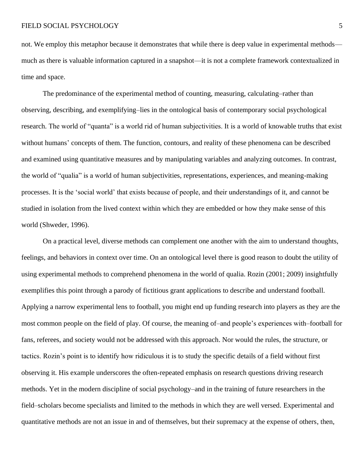not. We employ this metaphor because it demonstrates that while there is deep value in experimental methods much as there is valuable information captured in a snapshot—it is not a complete framework contextualized in time and space.

The predominance of the experimental method of counting, measuring, calculating–rather than observing, describing, and exemplifying–lies in the ontological basis of contemporary social psychological research. The world of "quanta" is a world rid of human subjectivities. It is a world of knowable truths that exist without humans' concepts of them. The function, contours, and reality of these phenomena can be described and examined using quantitative measures and by manipulating variables and analyzing outcomes. In contrast, the world of "qualia" is a world of human subjectivities, representations, experiences, and meaning-making processes. It is the 'social world' that exists because of people, and their understandings of it, and cannot be studied in isolation from the lived context within which they are embedded or how they make sense of this world (Shweder, 1996).

On a practical level, diverse methods can complement one another with the aim to understand thoughts, feelings, and behaviors in context over time. On an ontological level there is good reason to doubt the utility of using experimental methods to comprehend phenomena in the world of qualia. Rozin (2001; 2009) insightfully exemplifies this point through a parody of fictitious grant applications to describe and understand football. Applying a narrow experimental lens to football, you might end up funding research into players as they are the most common people on the field of play. Of course, the meaning of–and people's experiences with–football for fans, referees, and society would not be addressed with this approach. Nor would the rules, the structure, or tactics. Rozin's point is to identify how ridiculous it is to study the specific details of a field without first observing it. His example underscores the often-repeated emphasis on research questions driving research methods. Yet in the modern discipline of social psychology–and in the training of future researchers in the field–scholars become specialists and limited to the methods in which they are well versed. Experimental and quantitative methods are not an issue in and of themselves, but their supremacy at the expense of others, then,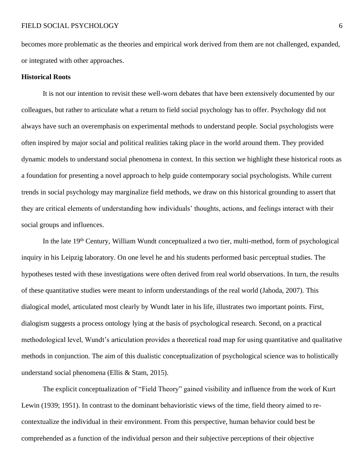becomes more problematic as the theories and empirical work derived from them are not challenged, expanded, or integrated with other approaches.

### **Historical Roots**

It is not our intention to revisit these well-worn debates that have been extensively documented by our colleagues, but rather to articulate what a return to field social psychology has to offer. Psychology did not always have such an overemphasis on experimental methods to understand people. Social psychologists were often inspired by major social and political realities taking place in the world around them. They provided dynamic models to understand social phenomena in context. In this section we highlight these historical roots as a foundation for presenting a novel approach to help guide contemporary social psychologists. While current trends in social psychology may marginalize field methods, we draw on this historical grounding to assert that they are critical elements of understanding how individuals' thoughts, actions, and feelings interact with their social groups and influences.

In the late 19<sup>th</sup> Century, William Wundt conceptualized a two tier, multi-method, form of psychological inquiry in his Leipzig laboratory. On one level he and his students performed basic perceptual studies. The hypotheses tested with these investigations were often derived from real world observations. In turn, the results of these quantitative studies were meant to inform understandings of the real world (Jahoda, 2007). This dialogical model, articulated most clearly by Wundt later in his life, illustrates two important points. First, dialogism suggests a process ontology lying at the basis of psychological research. Second, on a practical methodological level, Wundt's articulation provides a theoretical road map for using quantitative and qualitative methods in conjunction. The aim of this dualistic conceptualization of psychological science was to holistically understand social phenomena (Ellis & Stam, 2015).

The explicit conceptualization of "Field Theory" gained visibility and influence from the work of Kurt Lewin (1939; 1951). In contrast to the dominant behavioristic views of the time, field theory aimed to recontextualize the individual in their environment. From this perspective, human behavior could best be comprehended as a function of the individual person and their subjective perceptions of their objective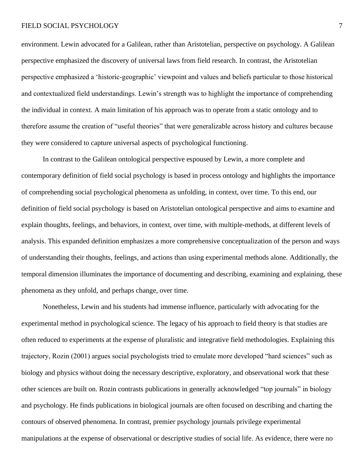environment. Lewin advocated for a Galilean, rather than Aristotelian, perspective on psychology. A Galilean perspective emphasized the discovery of universal laws from field research. In contrast, the Aristotelian perspective emphasized a 'historic-geographic' viewpoint and values and beliefs particular to those historical and contextualized field understandings. Lewin's strength was to highlight the importance of comprehending the individual in context. A main limitation of his approach was to operate from a static ontology and to therefore assume the creation of "useful theories" that were generalizable across history and cultures because they were considered to capture universal aspects of psychological functioning.

In contrast to the Galilean ontological perspective espoused by Lewin, a more complete and contemporary definition of field social psychology is based in process ontology and highlights the importance of comprehending social psychological phenomena as unfolding, in context, over time. To this end, our definition of field social psychology is based on Aristotelian ontological perspective and aims to examine and explain thoughts, feelings, and behaviors, in context, over time, with multiple-methods, at different levels of analysis. This expanded definition emphasizes a more comprehensive conceptualization of the person and ways of understanding their thoughts, feelings, and actions than using experimental methods alone. Additionally, the temporal dimension illuminates the importance of documenting and describing, examining and explaining, these phenomena as they unfold, and perhaps change, over time.

Nonetheless, Lewin and his students had immense influence, particularly with advocating for the experimental method in psychological science. The legacy of his approach to field theory is that studies are often reduced to experiments at the expense of pluralistic and integrative field methodologies. Explaining this trajectory, Rozin (2001) argues social psychologists tried to emulate more developed "hard sciences" such as biology and physics without doing the necessary descriptive, exploratory, and observational work that these other sciences are built on. Rozin contrasts publications in generally acknowledged "top journals" in biology and psychology. He finds publications in biological journals are often focused on describing and charting the contours of observed phenomena. In contrast, premier psychology journals privilege experimental manipulations at the expense of observational or descriptive studies of social life. As evidence, there were no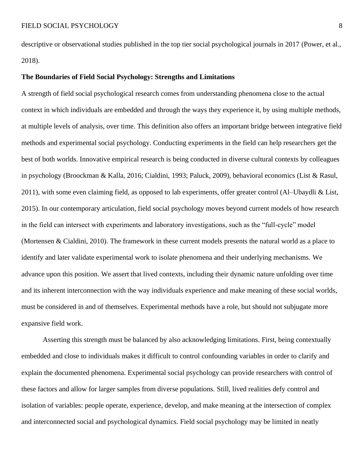descriptive or observational studies published in the top tier social psychological journals in 2017 (Power, et al., 2018).

### **The Boundaries of Field Social Psychology: Strengths and Limitations**

A strength of field social psychological research comes from understanding phenomena close to the actual context in which individuals are embedded and through the ways they experience it, by using multiple methods, at multiple levels of analysis, over time. This definition also offers an important bridge between integrative field methods and experimental social psychology. Conducting experiments in the field can help researchers get the best of both worlds. Innovative empirical research is being conducted in diverse cultural contexts by colleagues in psychology (Broockman & Kalla, 2016; Cialdini, 1993; Paluck, 2009), behavioral economics (List & Rasul, 2011), with some even claiming field, as opposed to lab experiments, offer greater control (Al–Ubaydli & List, 2015). In our contemporary articulation, field social psychology moves beyond current models of how research in the field can intersect with experiments and laboratory investigations, such as the "full-cycle" model (Mortensen & Cialdini, 2010). The framework in these current models presents the natural world as a place to identify and later validate experimental work to isolate phenomena and their underlying mechanisms. We advance upon this position. We assert that lived contexts, including their dynamic nature unfolding over time and its inherent interconnection with the way individuals experience and make meaning of these social worlds, must be considered in and of themselves. Experimental methods have a role, but should not subjugate more expansive field work.

Asserting this strength must be balanced by also acknowledging limitations. First, being contextually embedded and close to individuals makes it difficult to control confounding variables in order to clarify and explain the documented phenomena. Experimental social psychology can provide researchers with control of these factors and allow for larger samples from diverse populations. Still, lived realities defy control and isolation of variables: people operate, experience, develop, and make meaning at the intersection of complex and interconnected social and psychological dynamics. Field social psychology may be limited in neatly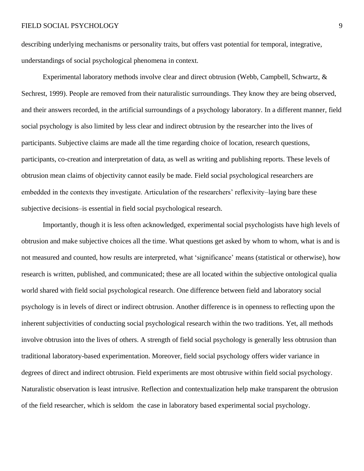describing underlying mechanisms or personality traits, but offers vast potential for temporal, integrative, understandings of social psychological phenomena in context.

Experimental laboratory methods involve clear and direct obtrusion (Webb, Campbell, Schwartz, & Sechrest, 1999). People are removed from their naturalistic surroundings. They know they are being observed, and their answers recorded, in the artificial surroundings of a psychology laboratory. In a different manner, field social psychology is also limited by less clear and indirect obtrusion by the researcher into the lives of participants. Subjective claims are made all the time regarding choice of location, research questions, participants, co-creation and interpretation of data, as well as writing and publishing reports. These levels of obtrusion mean claims of objectivity cannot easily be made. Field social psychological researchers are embedded in the contexts they investigate. Articulation of the researchers' reflexivity–laying bare these subjective decisions–is essential in field social psychological research.

Importantly, though it is less often acknowledged, experimental social psychologists have high levels of obtrusion and make subjective choices all the time. What questions get asked by whom to whom, what is and is not measured and counted, how results are interpreted, what 'significance' means (statistical or otherwise), how research is written, published, and communicated; these are all located within the subjective ontological qualia world shared with field social psychological research. One difference between field and laboratory social psychology is in levels of direct or indirect obtrusion. Another difference is in openness to reflecting upon the inherent subjectivities of conducting social psychological research within the two traditions. Yet, all methods involve obtrusion into the lives of others. A strength of field social psychology is generally less obtrusion than traditional laboratory-based experimentation. Moreover, field social psychology offers wider variance in degrees of direct and indirect obtrusion. Field experiments are most obtrusive within field social psychology. Naturalistic observation is least intrusive. Reflection and contextualization help make transparent the obtrusion of the field researcher, which is seldom the case in laboratory based experimental social psychology.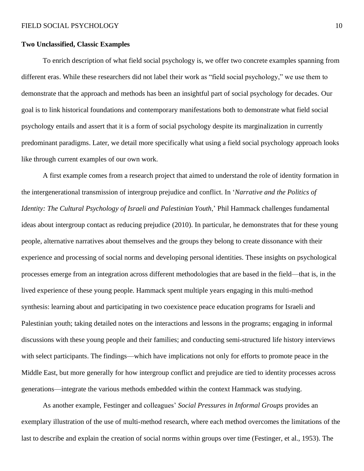### **Two Unclassified, Classic Examples**

To enrich description of what field social psychology is, we offer two concrete examples spanning from different eras. While these researchers did not label their work as "field social psychology," we use them to demonstrate that the approach and methods has been an insightful part of social psychology for decades. Our goal is to link historical foundations and contemporary manifestations both to demonstrate what field social psychology entails and assert that it is a form of social psychology despite its marginalization in currently predominant paradigms. Later, we detail more specifically what using a field social psychology approach looks like through current examples of our own work.

A first example comes from a research project that aimed to understand the role of identity formation in the intergenerational transmission of intergroup prejudice and conflict. In '*Narrative and the Politics of Identity: The Cultural Psychology of Israeli and Palestinian Youth*,' Phil Hammack challenges fundamental ideas about intergroup contact as reducing prejudice (2010). In particular, he demonstrates that for these young people, alternative narratives about themselves and the groups they belong to create dissonance with their experience and processing of social norms and developing personal identities. These insights on psychological processes emerge from an integration across different methodologies that are based in the field—that is, in the lived experience of these young people. Hammack spent multiple years engaging in this multi-method synthesis: learning about and participating in two coexistence peace education programs for Israeli and Palestinian youth; taking detailed notes on the interactions and lessons in the programs; engaging in informal discussions with these young people and their families; and conducting semi-structured life history interviews with select participants. The findings—which have implications not only for efforts to promote peace in the Middle East, but more generally for how intergroup conflict and prejudice are tied to identity processes across generations—integrate the various methods embedded within the context Hammack was studying.

As another example, Festinger and colleagues' *Social Pressures in Informal Groups* provides an exemplary illustration of the use of multi-method research, where each method overcomes the limitations of the last to describe and explain the creation of social norms within groups over time (Festinger, et al., 1953). The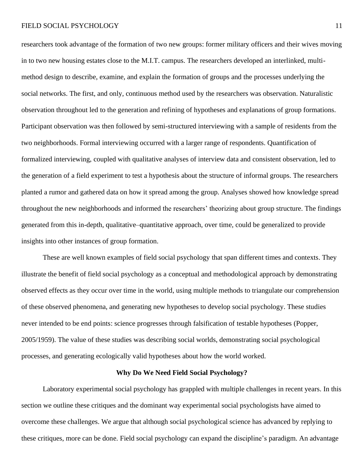researchers took advantage of the formation of two new groups: former military officers and their wives moving in to two new housing estates close to the M.I.T. campus. The researchers developed an interlinked, multimethod design to describe, examine, and explain the formation of groups and the processes underlying the social networks. The first, and only, continuous method used by the researchers was observation. Naturalistic observation throughout led to the generation and refining of hypotheses and explanations of group formations. Participant observation was then followed by semi-structured interviewing with a sample of residents from the two neighborhoods. Formal interviewing occurred with a larger range of respondents. Quantification of formalized interviewing, coupled with qualitative analyses of interview data and consistent observation, led to the generation of a field experiment to test a hypothesis about the structure of informal groups. The researchers planted a rumor and gathered data on how it spread among the group. Analyses showed how knowledge spread throughout the new neighborhoods and informed the researchers' theorizing about group structure. The findings generated from this in-depth, qualitative–quantitative approach, over time, could be generalized to provide insights into other instances of group formation.

These are well known examples of field social psychology that span different times and contexts. They illustrate the benefit of field social psychology as a conceptual and methodological approach by demonstrating observed effects as they occur over time in the world, using multiple methods to triangulate our comprehension of these observed phenomena, and generating new hypotheses to develop social psychology. These studies never intended to be end points: science progresses through falsification of testable hypotheses (Popper, 2005/1959). The value of these studies was describing social worlds, demonstrating social psychological processes, and generating ecologically valid hypotheses about how the world worked.

## **Why Do We Need Field Social Psychology?**

Laboratory experimental social psychology has grappled with multiple challenges in recent years. In this section we outline these critiques and the dominant way experimental social psychologists have aimed to overcome these challenges. We argue that although social psychological science has advanced by replying to these critiques, more can be done. Field social psychology can expand the discipline's paradigm. An advantage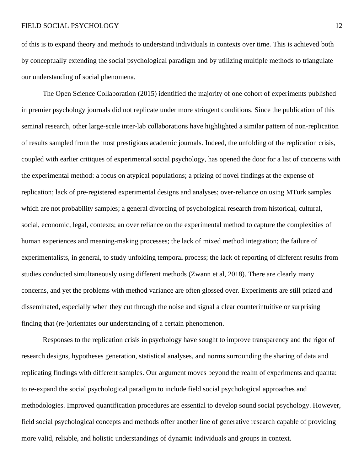of this is to expand theory and methods to understand individuals in contexts over time. This is achieved both by conceptually extending the social psychological paradigm and by utilizing multiple methods to triangulate our understanding of social phenomena.

The Open Science Collaboration (2015) identified the majority of one cohort of experiments published in premier psychology journals did not replicate under more stringent conditions. Since the publication of this seminal research, other large-scale inter-lab collaborations have highlighted a similar pattern of non-replication of results sampled from the most prestigious academic journals. Indeed, the unfolding of the replication crisis, coupled with earlier critiques of experimental social psychology, has opened the door for a list of concerns with the experimental method: a focus on atypical populations; a prizing of novel findings at the expense of replication; lack of pre-registered experimental designs and analyses; over-reliance on using MTurk samples which are not probability samples; a general divorcing of psychological research from historical, cultural, social, economic, legal, contexts; an over reliance on the experimental method to capture the complexities of human experiences and meaning-making processes; the lack of mixed method integration; the failure of experimentalists, in general, to study unfolding temporal process; the lack of reporting of different results from studies conducted simultaneously using different methods (Zwann et al, 2018). There are clearly many concerns, and yet the problems with method variance are often glossed over. Experiments are still prized and disseminated, especially when they cut through the noise and signal a clear counterintuitive or surprising finding that (re-)orientates our understanding of a certain phenomenon.

Responses to the replication crisis in psychology have sought to improve transparency and the rigor of research designs, hypotheses generation, statistical analyses, and norms surrounding the sharing of data and replicating findings with different samples. Our argument moves beyond the realm of experiments and quanta: to re-expand the social psychological paradigm to include field social psychological approaches and methodologies. Improved quantification procedures are essential to develop sound social psychology. However, field social psychological concepts and methods offer another line of generative research capable of providing more valid, reliable, and holistic understandings of dynamic individuals and groups in context.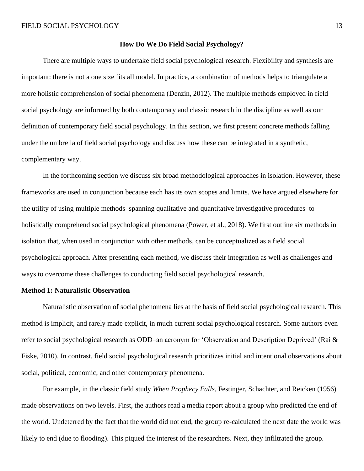#### **How Do We Do Field Social Psychology?**

There are multiple ways to undertake field social psychological research. Flexibility and synthesis are important: there is not a one size fits all model. In practice, a combination of methods helps to triangulate a more holistic comprehension of social phenomena (Denzin, 2012). The multiple methods employed in field social psychology are informed by both contemporary and classic research in the discipline as well as our definition of contemporary field social psychology. In this section, we first present concrete methods falling under the umbrella of field social psychology and discuss how these can be integrated in a synthetic, complementary way.

In the forthcoming section we discuss six broad methodological approaches in isolation. However, these frameworks are used in conjunction because each has its own scopes and limits. We have argued elsewhere for the utility of using multiple methods–spanning qualitative and quantitative investigative procedures–to holistically comprehend social psychological phenomena (Power, et al., 2018). We first outline six methods in isolation that, when used in conjunction with other methods, can be conceptualized as a field social psychological approach. After presenting each method, we discuss their integration as well as challenges and ways to overcome these challenges to conducting field social psychological research.

### **Method 1: Naturalistic Observation**

Naturalistic observation of social phenomena lies at the basis of field social psychological research. This method is implicit, and rarely made explicit, in much current social psychological research. Some authors even refer to social psychological research as ODD–an acronym for 'Observation and Description Deprived' (Rai & Fiske, 2010). In contrast, field social psychological research prioritizes initial and intentional observations about social, political, economic, and other contemporary phenomena.

For example, in the classic field study *When Prophecy Falls,* Festinger, Schachter, and Reicken (1956) made observations on two levels. First, the authors read a media report about a group who predicted the end of the world. Undeterred by the fact that the world did not end, the group re-calculated the next date the world was likely to end (due to flooding). This piqued the interest of the researchers. Next, they infiltrated the group.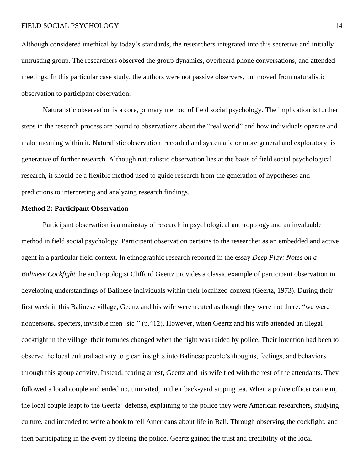Although considered unethical by today's standards, the researchers integrated into this secretive and initially untrusting group. The researchers observed the group dynamics, overheard phone conversations, and attended meetings. In this particular case study, the authors were not passive observers, but moved from naturalistic observation to participant observation.

Naturalistic observation is a core, primary method of field social psychology. The implication is further steps in the research process are bound to observations about the "real world" and how individuals operate and make meaning within it. Naturalistic observation–recorded and systematic or more general and exploratory–is generative of further research. Although naturalistic observation lies at the basis of field social psychological research, it should be a flexible method used to guide research from the generation of hypotheses and predictions to interpreting and analyzing research findings.

### **Method 2: Participant Observation**

Participant observation is a mainstay of research in psychological anthropology and an invaluable method in field social psychology. Participant observation pertains to the researcher as an embedded and active agent in a particular field context. In ethnographic research reported in the essay *Deep Play: Notes on a Balinese Cockfight* the anthropologist Clifford Geertz provides a classic example of participant observation in developing understandings of Balinese individuals within their localized context (Geertz, 1973). During their first week in this Balinese village, Geertz and his wife were treated as though they were not there: "we were nonpersons, specters, invisible men [sic]" (p.412). However, when Geertz and his wife attended an illegal cockfight in the village, their fortunes changed when the fight was raided by police. Their intention had been to observe the local cultural activity to glean insights into Balinese people's thoughts, feelings, and behaviors through this group activity. Instead, fearing arrest, Geertz and his wife fled with the rest of the attendants. They followed a local couple and ended up, uninvited, in their back-yard sipping tea. When a police officer came in, the local couple leapt to the Geertz' defense, explaining to the police they were American researchers, studying culture, and intended to write a book to tell Americans about life in Bali. Through observing the cockfight, and then participating in the event by fleeing the police, Geertz gained the trust and credibility of the local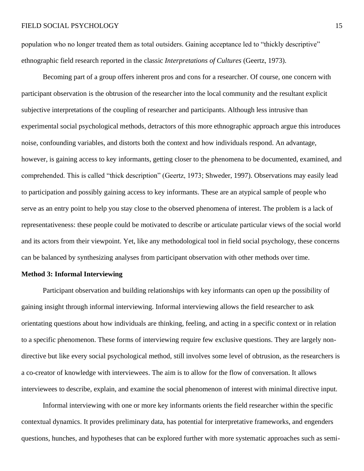population who no longer treated them as total outsiders. Gaining acceptance led to "thickly descriptive" ethnographic field research reported in the classic *Interpretations of Cultures* (Geertz, 1973).

Becoming part of a group offers inherent pros and cons for a researcher. Of course, one concern with participant observation is the obtrusion of the researcher into the local community and the resultant explicit subjective interpretations of the coupling of researcher and participants. Although less intrusive than experimental social psychological methods, detractors of this more ethnographic approach argue this introduces noise, confounding variables, and distorts both the context and how individuals respond. An advantage, however, is gaining access to key informants, getting closer to the phenomena to be documented, examined, and comprehended. This is called "thick description" (Geertz, 1973; Shweder, 1997). Observations may easily lead to participation and possibly gaining access to key informants. These are an atypical sample of people who serve as an entry point to help you stay close to the observed phenomena of interest. The problem is a lack of representativeness: these people could be motivated to describe or articulate particular views of the social world and its actors from their viewpoint. Yet, like any methodological tool in field social psychology, these concerns can be balanced by synthesizing analyses from participant observation with other methods over time.

### **Method 3: Informal Interviewing**

Participant observation and building relationships with key informants can open up the possibility of gaining insight through informal interviewing. Informal interviewing allows the field researcher to ask orientating questions about how individuals are thinking, feeling, and acting in a specific context or in relation to a specific phenomenon. These forms of interviewing require few exclusive questions. They are largely nondirective but like every social psychological method, still involves some level of obtrusion, as the researchers is a co-creator of knowledge with interviewees. The aim is to allow for the flow of conversation. It allows interviewees to describe, explain, and examine the social phenomenon of interest with minimal directive input.

Informal interviewing with one or more key informants orients the field researcher within the specific contextual dynamics. It provides preliminary data, has potential for interpretative frameworks, and engenders questions, hunches, and hypotheses that can be explored further with more systematic approaches such as semi-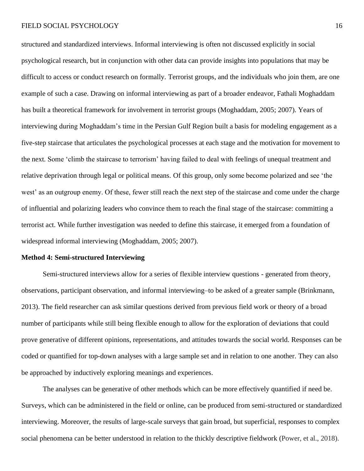structured and standardized interviews. Informal interviewing is often not discussed explicitly in social psychological research, but in conjunction with other data can provide insights into populations that may be difficult to access or conduct research on formally. Terrorist groups, and the individuals who join them, are one example of such a case. Drawing on informal interviewing as part of a broader endeavor, Fathali Moghaddam has built a theoretical framework for involvement in terrorist groups (Moghaddam, 2005; 2007). Years of interviewing during Moghaddam's time in the Persian Gulf Region built a basis for modeling engagement as a five-step staircase that articulates the psychological processes at each stage and the motivation for movement to the next. Some 'climb the staircase to terrorism' having failed to deal with feelings of unequal treatment and relative deprivation through legal or political means. Of this group, only some become polarized and see 'the west' as an outgroup enemy. Of these, fewer still reach the next step of the staircase and come under the charge of influential and polarizing leaders who convince them to reach the final stage of the staircase: committing a terrorist act. While further investigation was needed to define this staircase, it emerged from a foundation of widespread informal interviewing (Moghaddam, 2005; 2007).

#### **Method 4: Semi-structured Interviewing**

Semi-structured interviews allow for a series of flexible interview questions - generated from theory, observations, participant observation, and informal interviewing–to be asked of a greater sample (Brinkmann, 2013). The field researcher can ask similar questions derived from previous field work or theory of a broad number of participants while still being flexible enough to allow for the exploration of deviations that could prove generative of different opinions, representations, and attitudes towards the social world. Responses can be coded or quantified for top-down analyses with a large sample set and in relation to one another. They can also be approached by inductively exploring meanings and experiences.

The analyses can be generative of other methods which can be more effectively quantified if need be. Surveys, which can be administered in the field or online, can be produced from semi-structured or standardized interviewing. Moreover, the results of large-scale surveys that gain broad, but superficial, responses to complex social phenomena can be better understood in relation to the thickly descriptive fieldwork (Power, et al., 2018).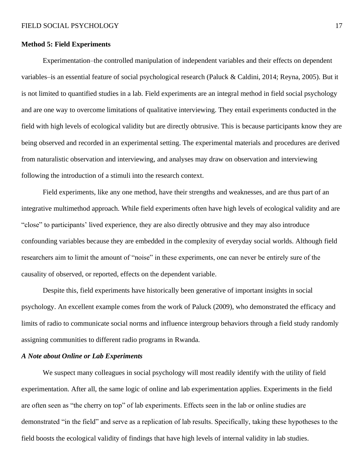### **Method 5: Field Experiments**

Experimentation–the controlled manipulation of independent variables and their effects on dependent variables–is an essential feature of social psychological research (Paluck & Caldini, 2014; Reyna, 2005). But it is not limited to quantified studies in a lab. Field experiments are an integral method in field social psychology and are one way to overcome limitations of qualitative interviewing. They entail experiments conducted in the field with high levels of ecological validity but are directly obtrusive. This is because participants know they are being observed and recorded in an experimental setting. The experimental materials and procedures are derived from naturalistic observation and interviewing, and analyses may draw on observation and interviewing following the introduction of a stimuli into the research context.

Field experiments, like any one method, have their strengths and weaknesses, and are thus part of an integrative multimethod approach. While field experiments often have high levels of ecological validity and are "close" to participants' lived experience, they are also directly obtrusive and they may also introduce confounding variables because they are embedded in the complexity of everyday social worlds. Although field researchers aim to limit the amount of "noise" in these experiments, one can never be entirely sure of the causality of observed, or reported, effects on the dependent variable.

Despite this, field experiments have historically been generative of important insights in social psychology. An excellent example comes from the work of Paluck (2009), who demonstrated the efficacy and limits of radio to communicate social norms and influence intergroup behaviors through a field study randomly assigning communities to different radio programs in Rwanda.

## *A Note about Online or Lab Experiments*

We suspect many colleagues in social psychology will most readily identify with the utility of field experimentation. After all, the same logic of online and lab experimentation applies. Experiments in the field are often seen as "the cherry on top" of lab experiments. Effects seen in the lab or online studies are demonstrated "in the field" and serve as a replication of lab results. Specifically, taking these hypotheses to the field boosts the ecological validity of findings that have high levels of internal validity in lab studies.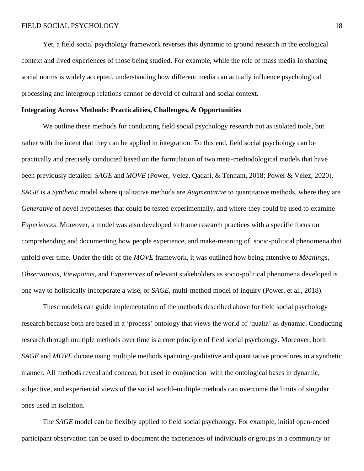Yet, a field social psychology framework reverses this dynamic to ground research in the ecological context and lived experiences of those being studied. For example, while the role of mass media in shaping social norms is widely accepted, understanding how different media can actually influence psychological processing and intergroup relations cannot be devoid of cultural and social context.

### **Integrating Across Methods: Practicalities, Challenges, & Opportunities**

We outline these methods for conducting field social psychology research not as isolated tools, but rather with the intent that they can be applied in integration. To this end, field social psychology can be practically and precisely conducted based on the formulation of two meta-methodological models that have been previously detailed: *SAGE* and *MOVE* (Power, Velez, Qadafi, & Tennant, 2018; Power & Velez, 2020). *SAGE* is a *Synthetic* model where qualitative methods are *Augmentative* to quantitative methods, where they are *Generative* of novel hypotheses that could be tested experimentally, and where they could be used to examine *Experiences*. Moreover, a model was also developed to frame research practices with a specific focus on comprehending and documenting how people experience, and make-meaning of, socio-political phenomena that unfold over time. Under the title of the *MOVE* framework, it was outlined how being attentive to *Meanings, Observations, Viewpoints,* and *Experiences* of relevant stakeholders as socio-political phenomena developed is one way to holistically incorporate a wise, or *SAGE*, multi-method model of inquiry (Power, et al., 2018).

These models can guide implementation of the methods described above for field social psychology research because both are based in a 'process' ontology that views the world of 'qualia' as dynamic. Conducting research through multiple methods over time is a core principle of field social psychology. Moreover, both *SAGE* and *MOVE* dictate using multiple methods spanning qualitative and quantitative procedures in a synthetic manner. All methods reveal and conceal, but used in conjunction–with the ontological bases in dynamic, subjective, and experiential views of the social world–multiple methods can overcome the limits of singular ones used in isolation.

The *SAGE* model can be flexibly applied to field social psychology. For example, initial open-ended participant observation can be used to document the experiences of individuals or groups in a community or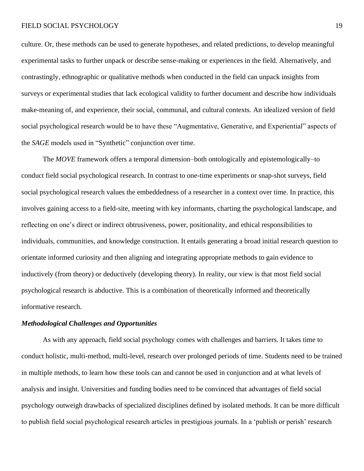culture. Or, these methods can be used to generate hypotheses, and related predictions, to develop meaningful experimental tasks to further unpack or describe sense-making or experiences in the field. Alternatively, and contrastingly, ethnographic or qualitative methods when conducted in the field can unpack insights from surveys or experimental studies that lack ecological validity to further document and describe how individuals make-meaning of, and experience, their social, communal, and cultural contexts. An idealized version of field social psychological research would be to have these "Augmentative, Generative, and Experiential" aspects of the *SAGE* models used in "Synthetic" conjunction over time.

The *MOVE* framework offers a temporal dimension–both ontologically and epistemologically–to conduct field social psychological research. In contrast to one-time experiments or snap-shot surveys, field social psychological research values the embeddedness of a researcher in a context over time. In practice, this involves gaining access to a field-site, meeting with key informants, charting the psychological landscape, and reflecting on one's direct or indirect obtrusiveness, power, positionality, and ethical responsibilities to individuals, communities, and knowledge construction. It entails generating a broad initial research question to orientate informed curiosity and then aligning and integrating appropriate methods to gain evidence to inductively (from theory) or deductively (developing theory). In reality, our view is that most field social psychological research is abductive. This is a combination of theoretically informed and theoretically informative research.

### *Methodological Challenges and Opportunities*

As with any approach, field social psychology comes with challenges and barriers. It takes time to conduct holistic, multi-method, multi-level, research over prolonged periods of time. Students need to be trained in multiple methods, to learn how these tools can and cannot be used in conjunction and at what levels of analysis and insight. Universities and funding bodies need to be convinced that advantages of field social psychology outweigh drawbacks of specialized disciplines defined by isolated methods. It can be more difficult to publish field social psychological research articles in prestigious journals. In a 'publish or perish' research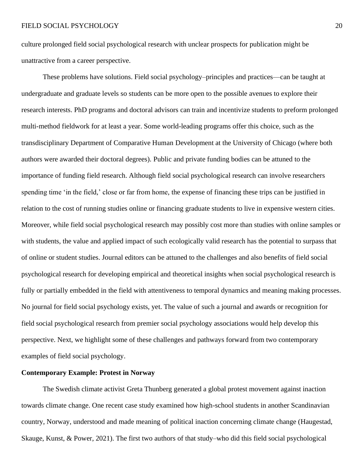culture prolonged field social psychological research with unclear prospects for publication might be unattractive from a career perspective.

These problems have solutions. Field social psychology–principles and practices—can be taught at undergraduate and graduate levels so students can be more open to the possible avenues to explore their research interests. PhD programs and doctoral advisors can train and incentivize students to preform prolonged multi-method fieldwork for at least a year. Some world-leading programs offer this choice, such as the transdisciplinary Department of Comparative Human Development at the University of Chicago (where both authors were awarded their doctoral degrees). Public and private funding bodies can be attuned to the importance of funding field research. Although field social psychological research can involve researchers spending time 'in the field,' close or far from home, the expense of financing these trips can be justified in relation to the cost of running studies online or financing graduate students to live in expensive western cities. Moreover, while field social psychological research may possibly cost more than studies with online samples or with students, the value and applied impact of such ecologically valid research has the potential to surpass that of online or student studies. Journal editors can be attuned to the challenges and also benefits of field social psychological research for developing empirical and theoretical insights when social psychological research is fully or partially embedded in the field with attentiveness to temporal dynamics and meaning making processes. No journal for field social psychology exists, yet. The value of such a journal and awards or recognition for field social psychological research from premier social psychology associations would help develop this perspective. Next, we highlight some of these challenges and pathways forward from two contemporary examples of field social psychology.

# **Contemporary Example: Protest in Norway**

The Swedish climate activist Greta Thunberg generated a global protest movement against inaction towards climate change. One recent case study examined how high-school students in another Scandinavian country, Norway, understood and made meaning of political inaction concerning climate change (Haugestad, Skauge, Kunst, & Power, 2021). The first two authors of that study–who did this field social psychological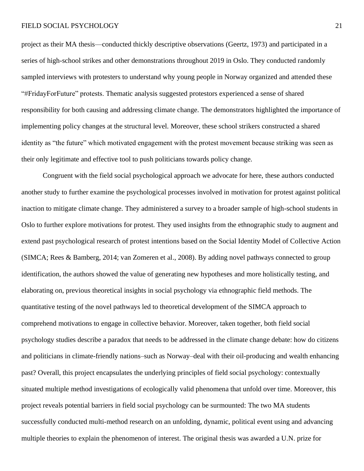project as their MA thesis—conducted thickly descriptive observations (Geertz, 1973) and participated in a series of high-school strikes and other demonstrations throughout 2019 in Oslo. They conducted randomly sampled interviews with protesters to understand why young people in Norway organized and attended these "#FridayForFuture" protests. Thematic analysis suggested protestors experienced a sense of shared responsibility for both causing and addressing climate change. The demonstrators highlighted the importance of implementing policy changes at the structural level. Moreover, these school strikers constructed a shared identity as "the future" which motivated engagement with the protest movement because striking was seen as their only legitimate and effective tool to push politicians towards policy change.

Congruent with the field social psychological approach we advocate for here, these authors conducted another study to further examine the psychological processes involved in motivation for protest against political inaction to mitigate climate change. They administered a survey to a broader sample of high-school students in Oslo to further explore motivations for protest. They used insights from the ethnographic study to augment and extend past psychological research of protest intentions based on the Social Identity Model of Collective Action (SIMCA; Rees & Bamberg, 2014; van Zomeren et al., 2008). By adding novel pathways connected to group identification, the authors showed the value of generating new hypotheses and more holistically testing, and elaborating on, previous theoretical insights in social psychology via ethnographic field methods. The quantitative testing of the novel pathways led to theoretical development of the SIMCA approach to comprehend motivations to engage in collective behavior. Moreover, taken together, both field social psychology studies describe a paradox that needs to be addressed in the climate change debate: how do citizens and politicians in climate-friendly nations–such as Norway–deal with their oil-producing and wealth enhancing past? Overall, this project encapsulates the underlying principles of field social psychology: contextually situated multiple method investigations of ecologically valid phenomena that unfold over time. Moreover, this project reveals potential barriers in field social psychology can be surmounted: The two MA students successfully conducted multi-method research on an unfolding, dynamic, political event using and advancing multiple theories to explain the phenomenon of interest. The original thesis was awarded a U.N. prize for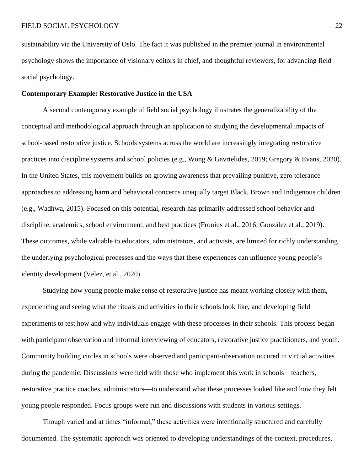sustainability via the University of Oslo. The fact it was published in the premier journal in environmental psychology shows the importance of visionary editors in chief, and thoughtful reviewers, for advancing field social psychology.

### **Contemporary Example: Restorative Justice in the USA**

A second contemporary example of field social psychology illustrates the generalizability of the conceptual and methodological approach through an application to studying the developmental impacts of school-based restorative justice. Schools systems across the world are increasingly integrating restorative practices into discipline systems and school policies (e.g., Wong & Gavrielides, 2019; Gregory & Evans, 2020). In the United States, this movement builds on growing awareness that prevailing punitive, zero tolerance approaches to addressing harm and behavioral concerns unequally target Black, Brown and Indigenous children (e.g., Wadhwa, 2015). Focused on this potential, research has primarily addressed school behavior and discipline, academics, school environment, and best practices (Fronius et al., 2016; González et al., 2019). These outcomes, while valuable to educators, administrators, and activists, are limited for richly understanding the underlying psychological processes and the ways that these experiences can influence young people's identity development (Velez, et al., 2020).

Studying how young people make sense of restorative justice has meant working closely with them, experiencing and seeing what the rituals and activities in their schools look like, and developing field experiments to test how and why individuals engage with these processes in their schools. This process began with participant observation and informal interviewing of educators, restorative justice practitioners, and youth. Community building circles in schools were observed and participant-observation occured in virtual activities during the pandemic. Discussions were held with those who implement this work in schools—teachers, restorative practice coaches, administrators—to understand what these processes looked like and how they felt young people responded. Focus groups were run and discussions with students in various settings.

Though varied and at times "informal," these activities were intentionally structured and carefully documented. The systematic approach was oriented to developing understandings of the context, procedures,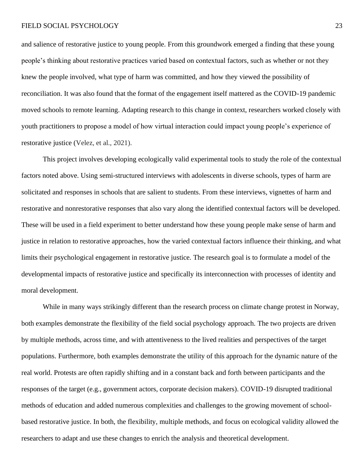and salience of restorative justice to young people. From this groundwork emerged a finding that these young people's thinking about restorative practices varied based on contextual factors, such as whether or not they knew the people involved, what type of harm was committed, and how they viewed the possibility of reconciliation. It was also found that the format of the engagement itself mattered as the COVID-19 pandemic moved schools to remote learning. Adapting research to this change in context, researchers worked closely with youth practitioners to propose a model of how virtual interaction could impact young people's experience of restorative justice (Velez, et al., 2021).

This project involves developing ecologically valid experimental tools to study the role of the contextual factors noted above. Using semi-structured interviews with adolescents in diverse schools, types of harm are solicitated and responses in schools that are salient to students. From these interviews, vignettes of harm and restorative and nonrestorative responses that also vary along the identified contextual factors will be developed. These will be used in a field experiment to better understand how these young people make sense of harm and justice in relation to restorative approaches, how the varied contextual factors influence their thinking, and what limits their psychological engagement in restorative justice. The research goal is to formulate a model of the developmental impacts of restorative justice and specifically its interconnection with processes of identity and moral development.

While in many ways strikingly different than the research process on climate change protest in Norway, both examples demonstrate the flexibility of the field social psychology approach. The two projects are driven by multiple methods, across time, and with attentiveness to the lived realities and perspectives of the target populations. Furthermore, both examples demonstrate the utility of this approach for the dynamic nature of the real world. Protests are often rapidly shifting and in a constant back and forth between participants and the responses of the target (e.g., government actors, corporate decision makers). COVID-19 disrupted traditional methods of education and added numerous complexities and challenges to the growing movement of schoolbased restorative justice. In both, the flexibility, multiple methods, and focus on ecological validity allowed the researchers to adapt and use these changes to enrich the analysis and theoretical development.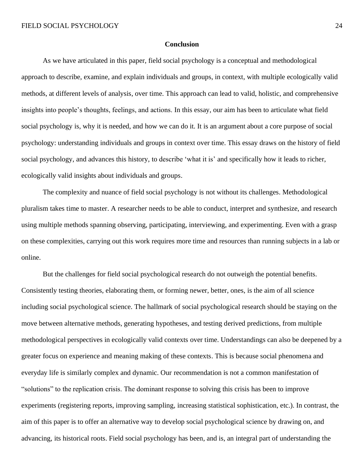### **Conclusion**

As we have articulated in this paper, field social psychology is a conceptual and methodological approach to describe, examine, and explain individuals and groups, in context, with multiple ecologically valid methods, at different levels of analysis, over time. This approach can lead to valid, holistic, and comprehensive insights into people's thoughts, feelings, and actions. In this essay, our aim has been to articulate what field social psychology is, why it is needed, and how we can do it. It is an argument about a core purpose of social psychology: understanding individuals and groups in context over time. This essay draws on the history of field social psychology, and advances this history, to describe 'what it is' and specifically how it leads to richer, ecologically valid insights about individuals and groups.

The complexity and nuance of field social psychology is not without its challenges. Methodological pluralism takes time to master. A researcher needs to be able to conduct, interpret and synthesize, and research using multiple methods spanning observing, participating, interviewing, and experimenting. Even with a grasp on these complexities, carrying out this work requires more time and resources than running subjects in a lab or online.

But the challenges for field social psychological research do not outweigh the potential benefits. Consistently testing theories, elaborating them, or forming newer, better, ones, is the aim of all science including social psychological science. The hallmark of social psychological research should be staying on the move between alternative methods, generating hypotheses, and testing derived predictions, from multiple methodological perspectives in ecologically valid contexts over time. Understandings can also be deepened by a greater focus on experience and meaning making of these contexts. This is because social phenomena and everyday life is similarly complex and dynamic. Our recommendation is not a common manifestation of "solutions" to the replication crisis. The dominant response to solving this crisis has been to improve experiments (registering reports, improving sampling, increasing statistical sophistication, etc.). In contrast, the aim of this paper is to offer an alternative way to develop social psychological science by drawing on, and advancing, its historical roots. Field social psychology has been, and is, an integral part of understanding the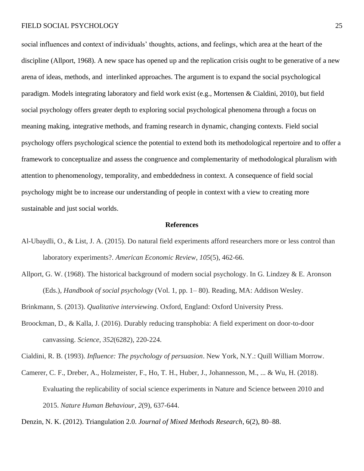social influences and context of individuals' thoughts, actions, and feelings, which area at the heart of the discipline (Allport, 1968). A new space has opened up and the replication crisis ought to be generative of a new arena of ideas, methods, and interlinked approaches. The argument is to expand the social psychological paradigm. Models integrating laboratory and field work exist (e.g., Mortensen & Cialdini, 2010), but field social psychology offers greater depth to exploring social psychological phenomena through a focus on meaning making, integrative methods, and framing research in dynamic, changing contexts. Field social psychology offers psychological science the potential to extend both its methodological repertoire and to offer a framework to conceptualize and assess the congruence and complementarity of methodological pluralism with attention to phenomenology, temporality, and embeddedness in context. A consequence of field social psychology might be to increase our understanding of people in context with a view to creating more sustainable and just social worlds.

#### **References**

- Al-Ubaydli, O., & List, J. A. (2015). Do natural field experiments afford researchers more or less control than laboratory experiments?. *American Economic Review*, *105*(5), 462-66.
- Allport, G. W. (1968). The historical background of modern social psychology. In G. Lindzey  $\&$  E. Aronson (Eds.), *Handbook of social psychology* (Vol. 1, pp. 1– 80). Reading, MA: Addison Wesley.

Brinkmann, S. (2013). *Qualitative interviewing*. Oxford, England: Oxford University Press.

Broockman, D., & Kalla, J. (2016). Durably reducing transphobia: A field experiment on door-to-door canvassing. *Science*, *352*(6282), 220-224.

Cialdini, R. B. (1993). *Influence: The psychology of persuasion*. New York, N.Y.: Quill William Morrow.

Camerer, C. F., Dreber, A., Holzmeister, F., Ho, T. H., Huber, J., Johannesson, M., ... & Wu, H. (2018). Evaluating the replicability of social science experiments in Nature and Science between 2010 and 2015. *Nature Human Behaviour*, *2*(9), 637-644.

Denzin, N. K. (2012). Triangulation 2.0. *Journal of Mixed Methods Research*, 6(2), 80–88.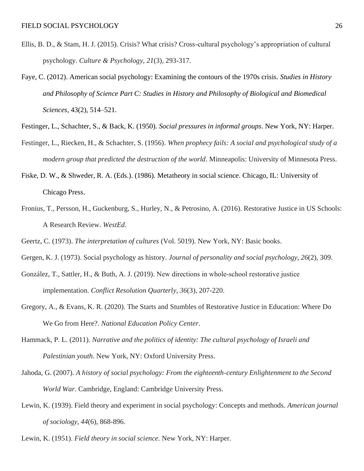- Ellis, B. D., & Stam, H. J. (2015). Crisis? What crisis? Cross-cultural psychology's appropriation of cultural psychology. *Culture & Psychology*, *21*(3), 293-317.
- Faye, C. (2012). American social psychology: Examining the contours of the 1970s crisis. *Studies in History and Philosophy of Science Part C: Studies in History and Philosophy of Biological and Biomedical Sciences*, 43(2), 514–521.
- Festinger, L., Schachter, S., & Back, K. (1950). *Social pressures in informal groups*. New York, NY: Harper.
- Festinger, L., Riecken, H., & Schachter, S. (1956). *When prophecy fails: A social and psychological study of a modern group that predicted the destruction of the world*. Minneapolis: University of Minnesota Press.
- Fiske, D. W., & Shweder, R. A. (Eds.). (1986). Metatheory in social science. Chicago, IL: University of Chicago Press.
- Fronius, T., Persson, H., Guckenburg, S., Hurley, N., & Petrosino, A. (2016). Restorative Justice in US Schools: A Research Review. *WestEd*.
- Geertz, C. (1973). *The interpretation of cultures* (Vol. 5019). New York, NY: Basic books.
- Gergen, K. J. (1973). Social psychology as history. *Journal of personality and social psychology*, *26*(2), 309.
- González, T., Sattler, H., & Buth, A. J. (2019). New directions in whole‐school restorative justice implementation. *Conflict Resolution Quarterly*, *36*(3), 207-220.
- Gregory, A., & Evans, K. R. (2020). The Starts and Stumbles of Restorative Justice in Education: Where Do We Go from Here?. *National Education Policy Center*.
- Hammack, P. L. (2011). *Narrative and the politics of identity: The cultural psychology of Israeli and Palestinian youth*. New York, NY: Oxford University Press.
- Jahoda, G. (2007). *A history of social psychology: From the eighteenth-century Enlightenment to the Second World War*. Cambridge, England: Cambridge University Press.
- Lewin, K. (1939). Field theory and experiment in social psychology: Concepts and methods. *American journal of sociology*, *44*(6), 868-896.
- Lewin, K. (1951). *Field theory in social science.* New York, NY: Harper*.*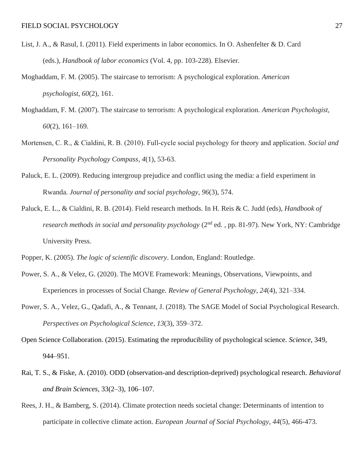- List, J. A., & Rasul, I. (2011). Field experiments in labor economics. In O. Ashenfelter & D. Card (eds.), *Handbook of labor economics* (Vol. 4, pp. 103-228). Elsevier.
- Moghaddam, F. M. (2005). The staircase to terrorism: A psychological exploration. *American psychologist*, *60*(2), 161.
- Moghaddam, F. M. (2007). The staircase to terrorism: A psychological exploration. *American Psychologist, 60*(2), 161–169.
- Mortensen, C. R., & Cialdini, R. B. (2010). Full‐cycle social psychology for theory and application. *Social and Personality Psychology Compass*, *4*(1), 53-63.
- Paluck, E. L. (2009). Reducing intergroup prejudice and conflict using the media: a field experiment in Rwanda. *Journal of personality and social psychology*, *96*(3), 574.
- Paluck, E. L., & Cialdini, R. B. (2014). Field research methods. In H. Reis & C. Judd (eds), *Handbook of research methods in social and personality psychology* (2nd ed. , pp. 81-97). New York, NY: Cambridge University Press.
- Popper, K. (2005). *The logic of scientific discovery*. London, England: Routledge.
- Power, S. A., & Velez, G. (2020). The MOVE Framework: Meanings, Observations, Viewpoints, and Experiences in processes of Social Change. *Review of General Psychology*, *24*(4), 321–334.
- Power, S. A., Velez, G., Qadafi, A., & Tennant, J. (2018). The SAGE Model of Social Psychological Research. *Perspectives on Psychological Science*, *13*(3), 359–372.
- Open Science Collaboration. (2015). Estimating the reproducibility of psychological science. *Science*, 349, 944–951.
- Rai, T. S., & Fiske, A. (2010). ODD (observation-and description-deprived) psychological research. *Behavioral and Brain Sciences*, 33(2–3), 106–107.
- Rees, J. H., & Bamberg, S. (2014). Climate protection needs societal change: Determinants of intention to participate in collective climate action. *European Journal of Social Psychology*, *44*(5), 466-473.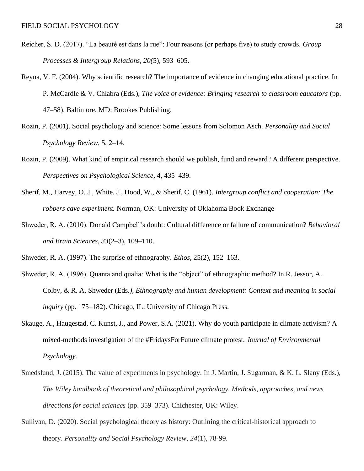- Reicher, S. D. (2017). "La beauté est dans la rue": Four reasons (or perhaps five) to study crowds. *Group Processes & Intergroup Relations, 20(*5), 593–605.
- Reyna, V. F. (2004). Why scientific research? The importance of evidence in changing educational practice. In P. McCardle & V. Chlabra (Eds.), *The voice of evidence: Bringing research to classroom educators* (pp. 47–58). Baltimore, MD: Brookes Publishing.
- Rozin, P. (2001). Social psychology and science: Some lessons from Solomon Asch. *Personality and Social Psychology Review*, 5, 2–14.
- Rozin, P. (2009). What kind of empirical research should we publish, fund and reward? A different perspective. *Perspectives on Psychological Science*, 4, 435–439.
- Sherif, M., Harvey, O. J., White, J., Hood, W., & Sherif, C. (1961). *Intergroup conflict and cooperation: The robbers cave experiment.* Norman, OK: University of Oklahoma Book Exchange
- Shweder, R. A. (2010). Donald Campbell's doubt: Cultural difference or failure of communication? *Behavioral and Brain Sciences, 33*(2–3), 109–110.
- Shweder, R. A. (1997). The surprise of ethnography. *Ethos*, 25(2), 152–163.
- Shweder, R. A. (1996). Quanta and qualia: What is the "object" of ethnographic method? In R. Jessor, A. Colby, & R. A. Shweder (Eds*.), Ethnography and human development: Context and meaning in social inquiry* (pp. 175–182). Chicago, IL: University of Chicago Press.
- Skauge, A., Haugestad, C. Kunst, J., and Power, S.A. (2021). Why do youth participate in climate activism? A mixed-methods investigation of the #FridaysForFuture climate protest. *Journal of Environmental Psychology.*
- Smedslund, J. (2015). The value of experiments in psychology*.* In J. Martin, J. Sugarman, & K. L. Slany (Eds.), *The Wiley handbook of theoretical and philosophical psychology. Methods, approaches, and news directions for social sciences* (pp. 359–373). Chichester, UK: Wiley.
- Sullivan, D. (2020). Social psychological theory as history: Outlining the critical-historical approach to theory. *Personality and Social Psychology Review*, *24*(1), 78-99.